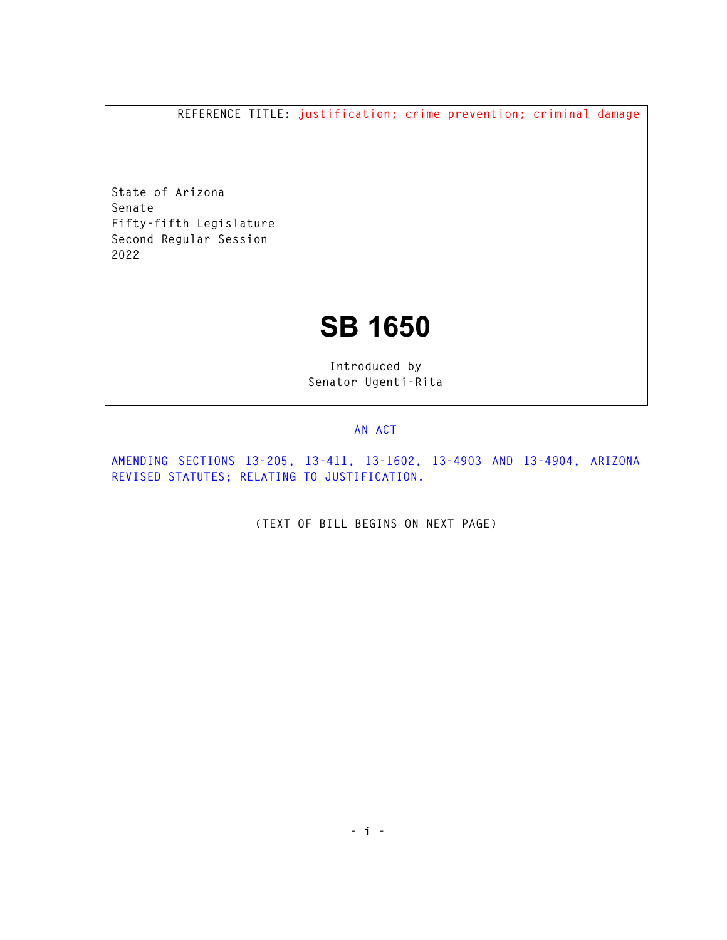**REFERENCE TITLE: justification; crime prevention; criminal damage** 

**State of Arizona Senate Fifty-fifth Legislature Second Regular Session 2022** 

## **SB 1650**

**Introduced by Senator Ugenti-Rita** 

## **AN ACT**

**AMENDING SECTIONS 13-205, 13-411, 13-1602, 13-4903 AND 13-4904, ARIZONA REVISED STATUTES; RELATING TO JUSTIFICATION.** 

**(TEXT OF BILL BEGINS ON NEXT PAGE)**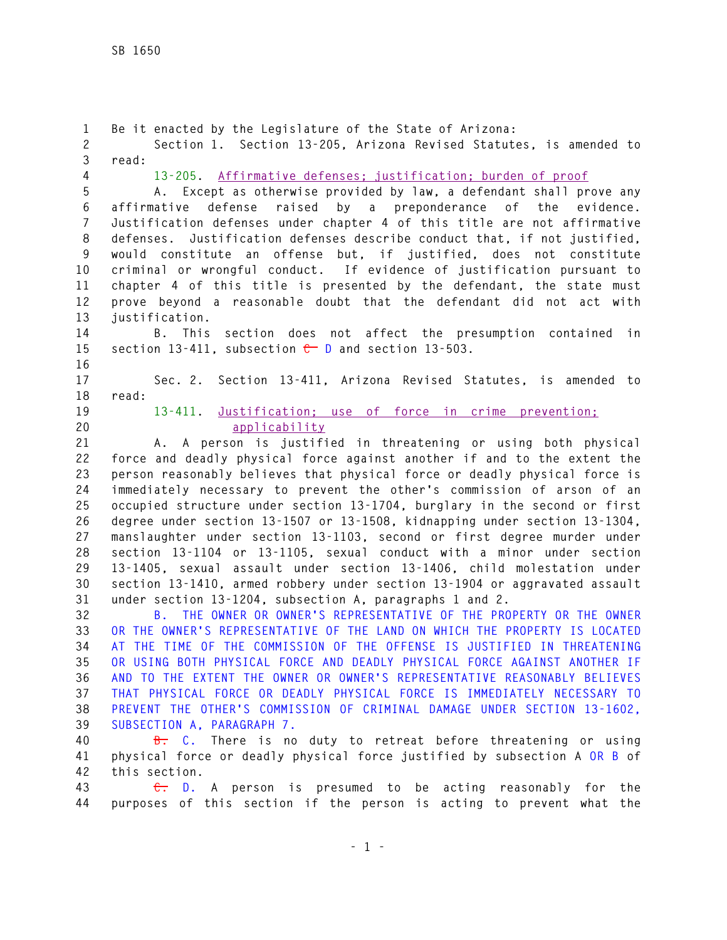**1 Be it enacted by the Legislature of the State of Arizona: 2 Section 1. Section 13-205, Arizona Revised Statutes, is amended to 3 read: 4 13-205. Affirmative defenses; justification; burden of proof 5 A. Except as otherwise provided by law, a defendant shall prove any 6 affirmative defense raised by a preponderance of the evidence. 7 Justification defenses under chapter 4 of this title are not affirmative 8 defenses. Justification defenses describe conduct that, if not justified, 9 would constitute an offense but, if justified, does not constitute 10 criminal or wrongful conduct. If evidence of justification pursuant to 11 chapter 4 of this title is presented by the defendant, the state must 12 prove beyond a reasonable doubt that the defendant did not act with 13 justification. 14 B. This section does not affect the presumption contained in**  15 section 13-411, subsection  $\leftarrow$  D and section 13-503. **16 17 Sec. 2. Section 13-411, Arizona Revised Statutes, is amended to 18 read: 19 13-411. Justification; use of force in crime prevention; 20 applicability 21 A. A person is justified in threatening or using both physical 22 force and deadly physical force against another if and to the extent the 23 person reasonably believes that physical force or deadly physical force is 24 immediately necessary to prevent the other's commission of arson of an 25 occupied structure under section 13-1704, burglary in the second or first 26 degree under section 13-1507 or 13-1508, kidnapping under section 13-1304, 27 manslaughter under section 13-1103, second or first degree murder under 28 section 13-1104 or 13-1105, sexual conduct with a minor under section 29 13-1405, sexual assault under section 13-1406, child molestation under 30 section 13-1410, armed robbery under section 13-1904 or aggravated assault 31 under section 13-1204, subsection A, paragraphs 1 and 2. 32 B. THE OWNER OR OWNER'S REPRESENTATIVE OF THE PROPERTY OR THE OWNER 33 OR THE OWNER'S REPRESENTATIVE OF THE LAND ON WHICH THE PROPERTY IS LOCATED 34 AT THE TIME OF THE COMMISSION OF THE OFFENSE IS JUSTIFIED IN THREATENING 35 OR USING BOTH PHYSICAL FORCE AND DEADLY PHYSICAL FORCE AGAINST ANOTHER IF 36 AND TO THE EXTENT THE OWNER OR OWNER'S REPRESENTATIVE REASONABLY BELIEVES 37 THAT PHYSICAL FORCE OR DEADLY PHYSICAL FORCE IS IMMEDIATELY NECESSARY TO 38 PREVENT THE OTHER'S COMMISSION OF CRIMINAL DAMAGE UNDER SECTION 13-1602, 39 SUBSECTION A, PARAGRAPH 7. 40 B. C. There is no duty to retreat before threatening or using 41 physical force or deadly physical force justified by subsection A OR B of 42 this section.** 

**43 C. D. A person is presumed to be acting reasonably for the 44 purposes of this section if the person is acting to prevent what the**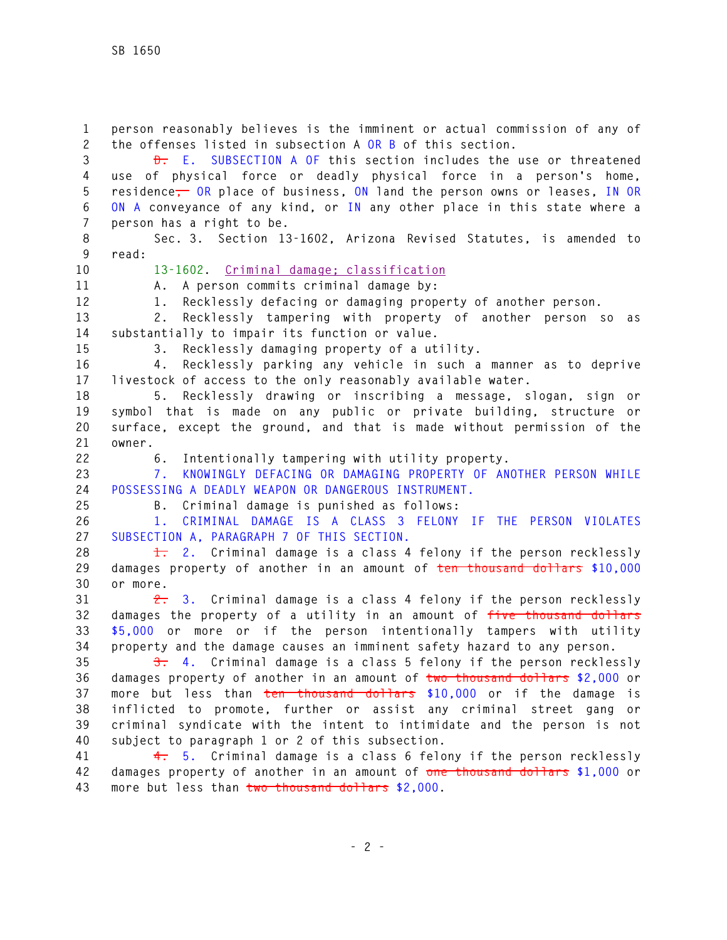**1 person reasonably believes is the imminent or actual commission of any of 2 the offenses listed in subsection A OR B of this section. 3 D. E. SUBSECTION A OF this section includes the use or threatened 4 use of physical force or deadly physical force in a person's home, 5 residence, OR place of business, ON land the person owns or leases, IN OR 6 ON A conveyance of any kind, or IN any other place in this state where a 7 person has a right to be. 8 Sec. 3. Section 13-1602, Arizona Revised Statutes, is amended to 9 read: 10 13-1602. Criminal damage; classification 11 A. A person commits criminal damage by: 12 1. Recklessly defacing or damaging property of another person. 13 2. Recklessly tampering with property of another person so as 14 substantially to impair its function or value. 15 3. Recklessly damaging property of a utility. 16 4. Recklessly parking any vehicle in such a manner as to deprive 17 livestock of access to the only reasonably available water. 18 5. Recklessly drawing or inscribing a message, slogan, sign or 19 symbol that is made on any public or private building, structure or 20 surface, except the ground, and that is made without permission of the 21 owner. 22 6. Intentionally tampering with utility property. 23 7. KNOWINGLY DEFACING OR DAMAGING PROPERTY OF ANOTHER PERSON WHILE 24 POSSESSING A DEADLY WEAPON OR DANGEROUS INSTRUMENT. 25 B. Criminal damage is punished as follows: 26 1. CRIMINAL DAMAGE IS A CLASS 3 FELONY IF THE PERSON VIOLATES 27 SUBSECTION A, PARAGRAPH 7 OF THIS SECTION. 28 1. 2. Criminal damage is a class 4 felony if the person recklessly 29 damages property of another in an amount of ten thousand dollars \$10,000 30 or more. 31 2. 3. Criminal damage is a class 4 felony if the person recklessly 32 damages the property of a utility in an amount of five thousand dollars 33 \$5,000 or more or if the person intentionally tampers with utility 34 property and the damage causes an imminent safety hazard to any person. 35 3. 4. Criminal damage is a class 5 felony if the person recklessly 36 damages property of another in an amount of two thousand dollars \$2,000 or 37 more but less than ten thousand dollars \$10,000 or if the damage is 38 inflicted to promote, further or assist any criminal street gang or 39 criminal syndicate with the intent to intimidate and the person is not 40 subject to paragraph 1 or 2 of this subsection. 41 4. 5. Criminal damage is a class 6 felony if the person recklessly 42 damages property of another in an amount of one thousand dollars \$1,000 or** 

**43 more but less than two thousand dollars \$2,000.**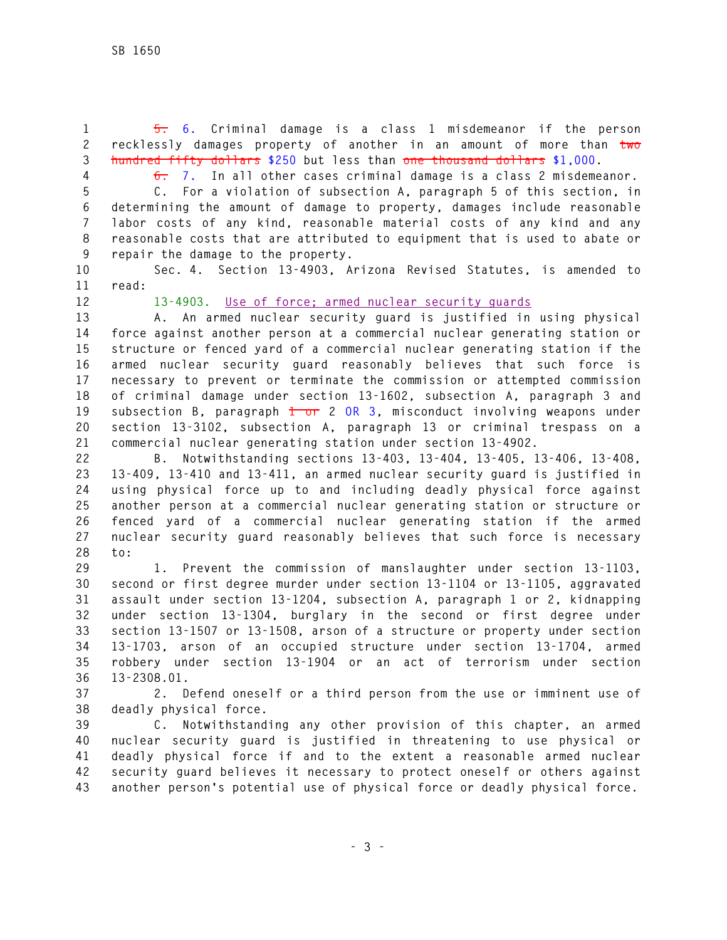**1 5. 6. Criminal damage is a class 1 misdemeanor if the person 2 recklessly damages property of another in an amount of more than two 3 hundred fifty dollars \$250 but less than one thousand dollars \$1,000.** 

**4 6. 7. In all other cases criminal damage is a class 2 misdemeanor.** 

**5 C. For a violation of subsection A, paragraph 5 of this section, in 6 determining the amount of damage to property, damages include reasonable 7 labor costs of any kind, reasonable material costs of any kind and any 8 reasonable costs that are attributed to equipment that is used to abate or** 

**9 repair the damage to the property.** 

**10 Sec. 4. Section 13-4903, Arizona Revised Statutes, is amended to 11 read:** 

**12 13-4903. Use of force; armed nuclear security guards**

**13 A. An armed nuclear security guard is justified in using physical 14 force against another person at a commercial nuclear generating station or 15 structure or fenced yard of a commercial nuclear generating station if the 16 armed nuclear security guard reasonably believes that such force is 17 necessary to prevent or terminate the commission or attempted commission 18 of criminal damage under section 13-1602, subsection A, paragraph 3 and 19 subsection B, paragraph 1 or 2 OR 3, misconduct involving weapons under 20 section 13-3102, subsection A, paragraph 13 or criminal trespass on a 21 commercial nuclear generating station under section 13-4902.** 

**22 B. Notwithstanding sections 13-403, 13-404, 13-405, 13-406, 13-408, 23 13-409, 13-410 and 13-411, an armed nuclear security guard is justified in 24 using physical force up to and including deadly physical force against 25 another person at a commercial nuclear generating station or structure or 26 fenced yard of a commercial nuclear generating station if the armed 27 nuclear security guard reasonably believes that such force is necessary 28 to:** 

**29 1. Prevent the commission of manslaughter under section 13-1103, 30 second or first degree murder under section 13-1104 or 13-1105, aggravated 31 assault under section 13-1204, subsection A, paragraph 1 or 2, kidnapping 32 under section 13-1304, burglary in the second or first degree under 33 section 13-1507 or 13-1508, arson of a structure or property under section 34 13-1703, arson of an occupied structure under section 13-1704, armed 35 robbery under section 13-1904 or an act of terrorism under section 36 13-2308.01.** 

**37 2. Defend oneself or a third person from the use or imminent use of 38 deadly physical force.** 

**39 C. Notwithstanding any other provision of this chapter, an armed 40 nuclear security guard is justified in threatening to use physical or 41 deadly physical force if and to the extent a reasonable armed nuclear 42 security guard believes it necessary to protect oneself or others against 43 another person's potential use of physical force or deadly physical force.**